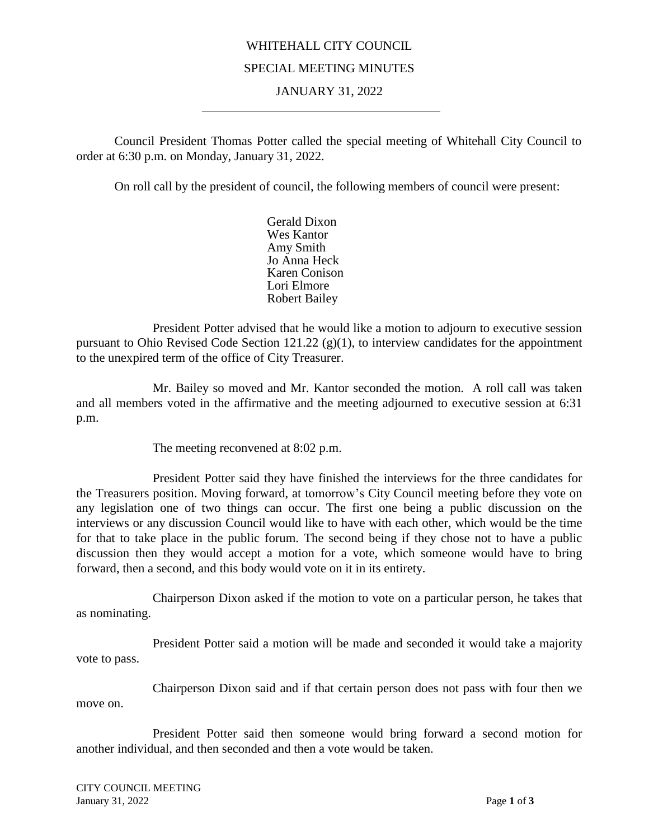## WHITEHALL CITY COUNCIL SPECIAL MEETING MINUTES

## JANUARY 31, 2022

Council President Thomas Potter called the special meeting of Whitehall City Council to order at 6:30 p.m. on Monday, January 31, 2022.

On roll call by the president of council, the following members of council were present:

Gerald Dixon Wes Kantor Amy Smith Jo Anna Heck Karen Conison Lori Elmore Robert Bailey

President Potter advised that he would like a motion to adjourn to executive session pursuant to Ohio Revised Code Section 121.22  $(g)(1)$ , to interview candidates for the appointment to the unexpired term of the office of City Treasurer.

Mr. Bailey so moved and Mr. Kantor seconded the motion. A roll call was taken and all members voted in the affirmative and the meeting adjourned to executive session at 6:31 p.m.

The meeting reconvened at 8:02 p.m.

President Potter said they have finished the interviews for the three candidates for the Treasurers position. Moving forward, at tomorrow's City Council meeting before they vote on any legislation one of two things can occur. The first one being a public discussion on the interviews or any discussion Council would like to have with each other, which would be the time for that to take place in the public forum. The second being if they chose not to have a public discussion then they would accept a motion for a vote, which someone would have to bring forward, then a second, and this body would vote on it in its entirety.

Chairperson Dixon asked if the motion to vote on a particular person, he takes that as nominating.

President Potter said a motion will be made and seconded it would take a majority vote to pass.

Chairperson Dixon said and if that certain person does not pass with four then we move on.

President Potter said then someone would bring forward a second motion for another individual, and then seconded and then a vote would be taken.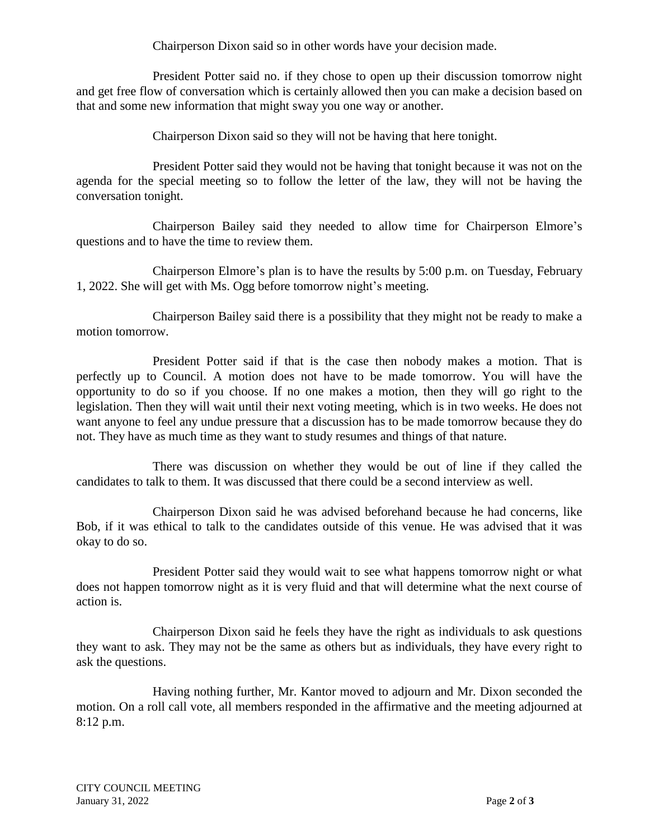Chairperson Dixon said so in other words have your decision made.

President Potter said no. if they chose to open up their discussion tomorrow night and get free flow of conversation which is certainly allowed then you can make a decision based on that and some new information that might sway you one way or another.

Chairperson Dixon said so they will not be having that here tonight.

President Potter said they would not be having that tonight because it was not on the agenda for the special meeting so to follow the letter of the law, they will not be having the conversation tonight.

Chairperson Bailey said they needed to allow time for Chairperson Elmore's questions and to have the time to review them.

Chairperson Elmore's plan is to have the results by 5:00 p.m. on Tuesday, February 1, 2022. She will get with Ms. Ogg before tomorrow night's meeting.

Chairperson Bailey said there is a possibility that they might not be ready to make a motion tomorrow.

President Potter said if that is the case then nobody makes a motion. That is perfectly up to Council. A motion does not have to be made tomorrow. You will have the opportunity to do so if you choose. If no one makes a motion, then they will go right to the legislation. Then they will wait until their next voting meeting, which is in two weeks. He does not want anyone to feel any undue pressure that a discussion has to be made tomorrow because they do not. They have as much time as they want to study resumes and things of that nature.

There was discussion on whether they would be out of line if they called the candidates to talk to them. It was discussed that there could be a second interview as well.

Chairperson Dixon said he was advised beforehand because he had concerns, like Bob, if it was ethical to talk to the candidates outside of this venue. He was advised that it was okay to do so.

President Potter said they would wait to see what happens tomorrow night or what does not happen tomorrow night as it is very fluid and that will determine what the next course of action is.

Chairperson Dixon said he feels they have the right as individuals to ask questions they want to ask. They may not be the same as others but as individuals, they have every right to ask the questions.

Having nothing further, Mr. Kantor moved to adjourn and Mr. Dixon seconded the motion. On a roll call vote, all members responded in the affirmative and the meeting adjourned at 8:12 p.m.